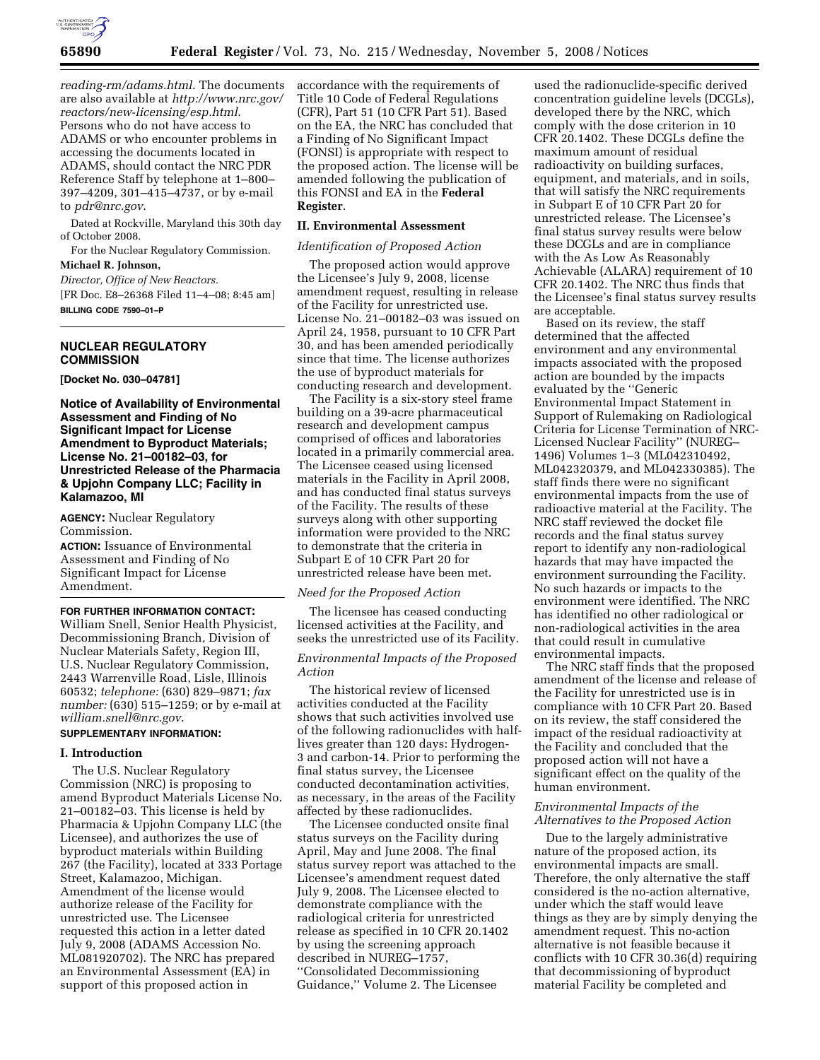

*reading-rm/adams.html*. The documents are also available at *http://www.nrc.gov/ reactors/new-licensing/esp.html*. Persons who do not have access to ADAMS or who encounter problems in accessing the documents located in ADAMS, should contact the NRC PDR Reference Staff by telephone at 1–800– 397–4209, 301–415–4737, or by e-mail to *pdr@nrc.gov*.

Dated at Rockville, Maryland this 30th day of October 2008.

For the Nuclear Regulatory Commission.

# **Michael R. Johnson,**

*Director, Office of New Reactors.*  [FR Doc. E8–26368 Filed 11–4–08; 8:45 am] **BILLING CODE 7590–01–P** 

# **NUCLEAR REGULATORY COMMISSION**

**[Docket No. 030–04781]** 

**Notice of Availability of Environmental Assessment and Finding of No Significant Impact for License Amendment to Byproduct Materials; License No. 21–00182–03, for Unrestricted Release of the Pharmacia & Upjohn Company LLC; Facility in Kalamazoo, MI** 

**AGENCY:** Nuclear Regulatory Commission.

**ACTION:** Issuance of Environmental Assessment and Finding of No Significant Impact for License Amendment.

# **FOR FURTHER INFORMATION CONTACT:**

William Snell, Senior Health Physicist, Decommissioning Branch, Division of Nuclear Materials Safety, Region III, U.S. Nuclear Regulatory Commission, 2443 Warrenville Road, Lisle, Illinois 60532; *telephone:* (630) 829–9871; *fax number:* (630) 515–1259; or by e-mail at *william.snell@nrc.gov*.

# **SUPPLEMENTARY INFORMATION:**

#### **I. Introduction**

The U.S. Nuclear Regulatory Commission (NRC) is proposing to amend Byproduct Materials License No. 21–00182–03. This license is held by Pharmacia & Upjohn Company LLC (the Licensee), and authorizes the use of byproduct materials within Building 267 (the Facility), located at 333 Portage Street, Kalamazoo, Michigan. Amendment of the license would authorize release of the Facility for unrestricted use. The Licensee requested this action in a letter dated July 9, 2008 (ADAMS Accession No. ML081920702). The NRC has prepared an Environmental Assessment (EA) in support of this proposed action in

accordance with the requirements of Title 10 Code of Federal Regulations (CFR), Part 51 (10 CFR Part 51). Based on the EA, the NRC has concluded that a Finding of No Significant Impact (FONSI) is appropriate with respect to the proposed action. The license will be amended following the publication of this FONSI and EA in the **Federal Register**.

# **II. Environmental Assessment**

#### *Identification of Proposed Action*

The proposed action would approve the Licensee's July 9, 2008, license amendment request, resulting in release of the Facility for unrestricted use. License No. 21–00182–03 was issued on April 24, 1958, pursuant to 10 CFR Part 30, and has been amended periodically since that time. The license authorizes the use of byproduct materials for conducting research and development.

The Facility is a six-story steel frame building on a 39-acre pharmaceutical research and development campus comprised of offices and laboratories located in a primarily commercial area. The Licensee ceased using licensed materials in the Facility in April 2008, and has conducted final status surveys of the Facility. The results of these surveys along with other supporting information were provided to the NRC to demonstrate that the criteria in Subpart E of 10 CFR Part 20 for unrestricted release have been met.

#### *Need for the Proposed Action*

The licensee has ceased conducting licensed activities at the Facility, and seeks the unrestricted use of its Facility.

# *Environmental Impacts of the Proposed Action*

The historical review of licensed activities conducted at the Facility shows that such activities involved use of the following radionuclides with halflives greater than 120 days: Hydrogen-3 and carbon-14. Prior to performing the final status survey, the Licensee conducted decontamination activities, as necessary, in the areas of the Facility affected by these radionuclides.

The Licensee conducted onsite final status surveys on the Facility during April, May and June 2008. The final status survey report was attached to the Licensee's amendment request dated July 9, 2008. The Licensee elected to demonstrate compliance with the radiological criteria for unrestricted release as specified in 10 CFR 20.1402 by using the screening approach described in NUREG–1757, ''Consolidated Decommissioning Guidance,'' Volume 2. The Licensee

used the radionuclide-specific derived concentration guideline levels (DCGLs), developed there by the NRC, which comply with the dose criterion in 10 CFR 20.1402. These DCGLs define the maximum amount of residual radioactivity on building surfaces, equipment, and materials, and in soils, that will satisfy the NRC requirements in Subpart E of 10 CFR Part 20 for unrestricted release. The Licensee's final status survey results were below these DCGLs and are in compliance with the As Low As Reasonably Achievable (ALARA) requirement of 10 CFR 20.1402. The NRC thus finds that the Licensee's final status survey results are acceptable.

Based on its review, the staff determined that the affected environment and any environmental impacts associated with the proposed action are bounded by the impacts evaluated by the ''Generic Environmental Impact Statement in Support of Rulemaking on Radiological Criteria for License Termination of NRC-Licensed Nuclear Facility'' (NUREG– 1496) Volumes 1–3 (ML042310492, ML042320379, and ML042330385). The staff finds there were no significant environmental impacts from the use of radioactive material at the Facility. The NRC staff reviewed the docket file records and the final status survey report to identify any non-radiological hazards that may have impacted the environment surrounding the Facility. No such hazards or impacts to the environment were identified. The NRC has identified no other radiological or non-radiological activities in the area that could result in cumulative environmental impacts.

The NRC staff finds that the proposed amendment of the license and release of the Facility for unrestricted use is in compliance with 10 CFR Part 20. Based on its review, the staff considered the impact of the residual radioactivity at the Facility and concluded that the proposed action will not have a significant effect on the quality of the human environment.

### *Environmental Impacts of the Alternatives to the Proposed Action*

Due to the largely administrative nature of the proposed action, its environmental impacts are small. Therefore, the only alternative the staff considered is the no-action alternative, under which the staff would leave things as they are by simply denying the amendment request. This no-action alternative is not feasible because it conflicts with 10 CFR 30.36(d) requiring that decommissioning of byproduct material Facility be completed and